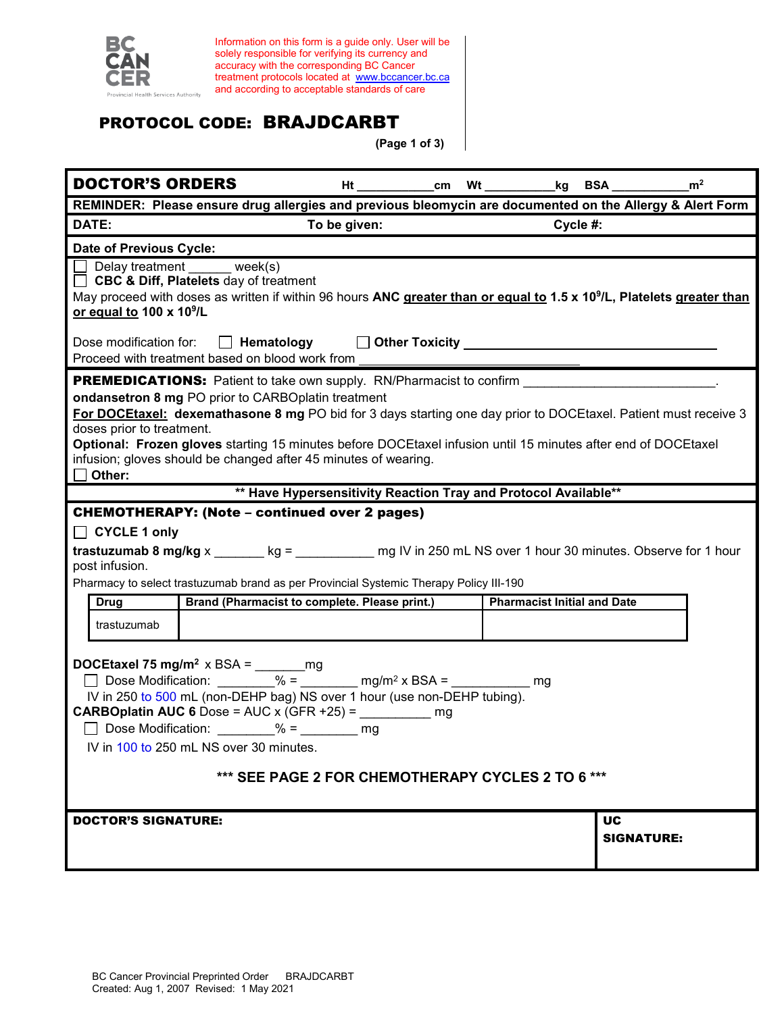

es Authority

Information on this form is a guide only. User will be solely responsible for verifying its currency and accuracy with the corresponding BC Cancer treatment protocols located at [www.bccancer.bc.ca](http://www.bccancer.bc.ca/) and according to acceptable standards of care

## PROTOCOL CODE: BRAJDCARBT

**(Page 1 of 3)**

| <b>DOCTOR'S ORDERS</b>                                                                                                                                                                                                                                                                                                                                                                                                                                                          |                                                                                     |              |  |  | Ht cm Wt kg BSA                    |  | m <sup>2</sup>                                                                                                                     |
|---------------------------------------------------------------------------------------------------------------------------------------------------------------------------------------------------------------------------------------------------------------------------------------------------------------------------------------------------------------------------------------------------------------------------------------------------------------------------------|-------------------------------------------------------------------------------------|--------------|--|--|------------------------------------|--|------------------------------------------------------------------------------------------------------------------------------------|
|                                                                                                                                                                                                                                                                                                                                                                                                                                                                                 |                                                                                     |              |  |  |                                    |  | REMINDER: Please ensure drug allergies and previous bleomycin are documented on the Allergy & Alert Form                           |
| DATE:                                                                                                                                                                                                                                                                                                                                                                                                                                                                           |                                                                                     | To be given: |  |  | Cycle #:                           |  |                                                                                                                                    |
| Date of Previous Cycle:                                                                                                                                                                                                                                                                                                                                                                                                                                                         |                                                                                     |              |  |  |                                    |  |                                                                                                                                    |
| or equal to 100 x 10 <sup>9</sup> /L                                                                                                                                                                                                                                                                                                                                                                                                                                            | $\Box$ Delay treatment week(s)<br><b>CBC &amp; Diff, Platelets</b> day of treatment |              |  |  |                                    |  | May proceed with doses as written if within 96 hours ANC greater than or equal to 1.5 x 10 <sup>9</sup> /L, Platelets greater than |
| Dose modification for:<br><b>Dose modification for:</b><br><b>Dose modification for:</b><br><b>Dose modification for:</b><br><b>Dose modification for:</b><br>Proceed with treatment based on blood work from                                                                                                                                                                                                                                                                   |                                                                                     |              |  |  |                                    |  |                                                                                                                                    |
|                                                                                                                                                                                                                                                                                                                                                                                                                                                                                 |                                                                                     |              |  |  |                                    |  |                                                                                                                                    |
| <b>PREMEDICATIONS:</b> Patient to take own supply. RN/Pharmacist to confirm<br>ondansetron 8 mg PO prior to CARBOplatin treatment<br>For DOCEtaxel: dexemathasone 8 mg PO bid for 3 days starting one day prior to DOCEtaxel. Patient must receive 3<br>doses prior to treatment.<br>Optional: Frozen gloves starting 15 minutes before DOCEtaxel infusion until 15 minutes after end of DOCEtaxel<br>infusion; gloves should be changed after 45 minutes of wearing.<br>Other: |                                                                                     |              |  |  |                                    |  |                                                                                                                                    |
| ** Have Hypersensitivity Reaction Tray and Protocol Available**                                                                                                                                                                                                                                                                                                                                                                                                                 |                                                                                     |              |  |  |                                    |  |                                                                                                                                    |
| <b>CHEMOTHERAPY: (Note - continued over 2 pages)</b>                                                                                                                                                                                                                                                                                                                                                                                                                            |                                                                                     |              |  |  |                                    |  |                                                                                                                                    |
| $\Box$ CYCLE 1 only<br>trastuzumab 8 mg/kg $x$ _______ kg = ___________ mg IV in 250 mL NS over 1 hour 30 minutes. Observe for 1 hour<br>post infusion.<br>Pharmacy to select trastuzumab brand as per Provincial Systemic Therapy Policy III-190                                                                                                                                                                                                                               |                                                                                     |              |  |  |                                    |  |                                                                                                                                    |
| <b>Drug</b>                                                                                                                                                                                                                                                                                                                                                                                                                                                                     | Brand (Pharmacist to complete. Please print.)                                       |              |  |  | <b>Pharmacist Initial and Date</b> |  |                                                                                                                                    |
| trastuzumab                                                                                                                                                                                                                                                                                                                                                                                                                                                                     |                                                                                     |              |  |  |                                    |  |                                                                                                                                    |
| DOCEtaxel 75 mg/m <sup>2</sup> $\times$ BSA = _________ mg<br>Dose Modification: ________% = _______ mg/m <sup>2</sup> x BSA = __________ mg<br>IV in 250 to 500 mL (non-DEHP bag) NS over 1 hour (use non-DEHP tubing).<br><b>CARBOplatin AUC 6</b> Dose = AUC x (GFR +25) = $\frac{1}{2}$ mg<br>IV in 100 to 250 mL NS over 30 minutes.<br>*** SEE PAGE 2 FOR CHEMOTHERAPY CYCLES 2 TO 6 ***                                                                                  |                                                                                     |              |  |  |                                    |  |                                                                                                                                    |
| <b>DOCTOR'S SIGNATURE:</b>                                                                                                                                                                                                                                                                                                                                                                                                                                                      |                                                                                     |              |  |  |                                    |  | UC<br><b>SIGNATURE:</b>                                                                                                            |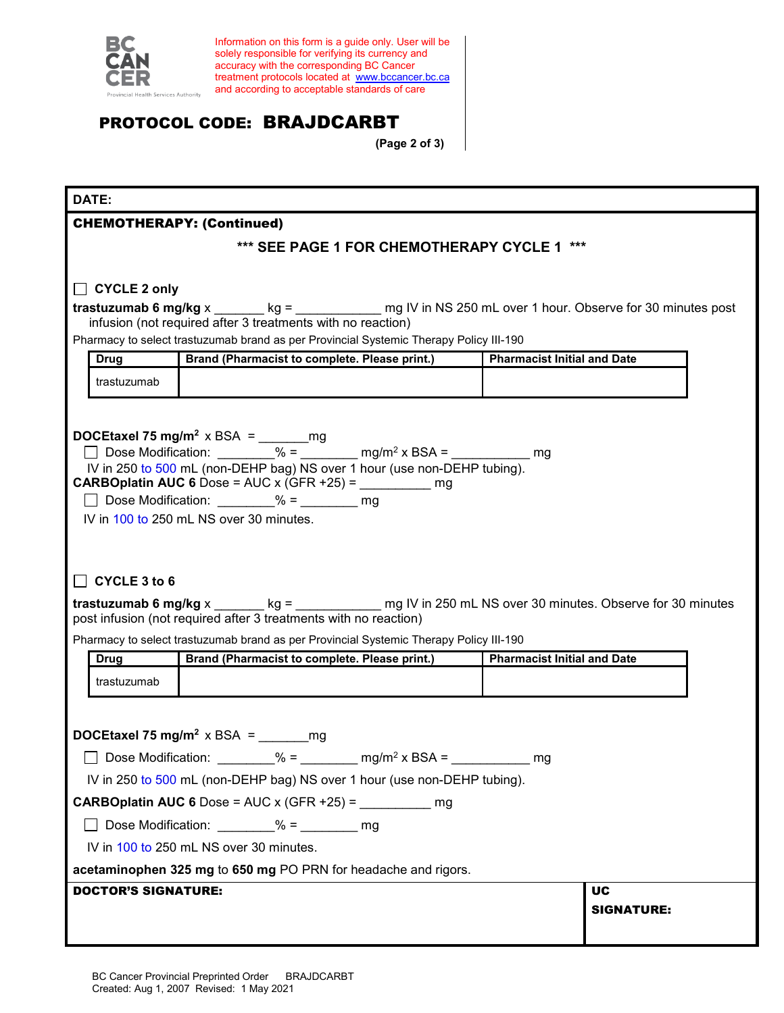

Information on this form is a guide only. User will be solely responsible for verifying its currency and accuracy with the corresponding BC Cancer treatment protocols located at [www.bccancer.bc.ca](http://www.bccancer.bc.ca/) and according to acceptable standards of care

## PROTOCOL CODE: BRAJDCARBT

**(Page 2 of 3)**

| <b>CHEMOTHERAPY: (Continued)</b><br>$\Box$ CYCLE 2 only<br>infusion (not required after 3 treatments with no reaction)<br>Brand (Pharmacist to complete. Please print.)<br><b>Drug</b><br>trastuzumab<br>DOCEtaxel 75 mg/m <sup>2</sup> x BSA = $\frac{mg}{mg}$<br><b>CARBOplatin AUC 6</b> Dose = AUC x (GFR +25) = $\frac{1}{2}$ mg<br>□ Dose Modification: ________% = _________ mg<br>IV in 100 to 250 mL NS over 30 minutes.<br>$\Box$ CYCLE 3 to 6<br>post infusion (not required after 3 treatments with no reaction)<br>Pharmacy to select trastuzumab brand as per Provincial Systemic Therapy Policy III-190<br>Brand (Pharmacist to complete. Please print.)<br><b>Drug</b><br>trastuzumab<br>DOCEtaxel 75 mg/m <sup>2</sup> $\times$ BSA = ________ mg<br>□ Dose Modification: ________% = ________ mg/m <sup>2</sup> x BSA =<br><b>CARBOplatin AUC 6</b> Dose = AUC x $(GFR + 25) =$ mg<br>Dose Modification: ________% = ________ mg<br>IV in 100 to 250 mL NS over 30 minutes.<br>acetaminophen 325 mg to 650 mg PO PRN for headache and rigors.<br><b>DOCTOR'S SIGNATURE:</b> | DATE:                                                                                                        |  |  |  |  |  |  |  |
|-----------------------------------------------------------------------------------------------------------------------------------------------------------------------------------------------------------------------------------------------------------------------------------------------------------------------------------------------------------------------------------------------------------------------------------------------------------------------------------------------------------------------------------------------------------------------------------------------------------------------------------------------------------------------------------------------------------------------------------------------------------------------------------------------------------------------------------------------------------------------------------------------------------------------------------------------------------------------------------------------------------------------------------------------------------------------------------------------|--------------------------------------------------------------------------------------------------------------|--|--|--|--|--|--|--|
|                                                                                                                                                                                                                                                                                                                                                                                                                                                                                                                                                                                                                                                                                                                                                                                                                                                                                                                                                                                                                                                                                               |                                                                                                              |  |  |  |  |  |  |  |
|                                                                                                                                                                                                                                                                                                                                                                                                                                                                                                                                                                                                                                                                                                                                                                                                                                                                                                                                                                                                                                                                                               | *** SEE PAGE 1 FOR CHEMOTHERAPY CYCLE 1 ***                                                                  |  |  |  |  |  |  |  |
|                                                                                                                                                                                                                                                                                                                                                                                                                                                                                                                                                                                                                                                                                                                                                                                                                                                                                                                                                                                                                                                                                               |                                                                                                              |  |  |  |  |  |  |  |
|                                                                                                                                                                                                                                                                                                                                                                                                                                                                                                                                                                                                                                                                                                                                                                                                                                                                                                                                                                                                                                                                                               |                                                                                                              |  |  |  |  |  |  |  |
|                                                                                                                                                                                                                                                                                                                                                                                                                                                                                                                                                                                                                                                                                                                                                                                                                                                                                                                                                                                                                                                                                               | trastuzumab 6 mg/kg $x$ ______ kg = ____________ mg IV in NS 250 mL over 1 hour. Observe for 30 minutes post |  |  |  |  |  |  |  |
|                                                                                                                                                                                                                                                                                                                                                                                                                                                                                                                                                                                                                                                                                                                                                                                                                                                                                                                                                                                                                                                                                               | Pharmacy to select trastuzumab brand as per Provincial Systemic Therapy Policy III-190                       |  |  |  |  |  |  |  |
|                                                                                                                                                                                                                                                                                                                                                                                                                                                                                                                                                                                                                                                                                                                                                                                                                                                                                                                                                                                                                                                                                               | <b>Pharmacist Initial and Date</b>                                                                           |  |  |  |  |  |  |  |
|                                                                                                                                                                                                                                                                                                                                                                                                                                                                                                                                                                                                                                                                                                                                                                                                                                                                                                                                                                                                                                                                                               |                                                                                                              |  |  |  |  |  |  |  |
|                                                                                                                                                                                                                                                                                                                                                                                                                                                                                                                                                                                                                                                                                                                                                                                                                                                                                                                                                                                                                                                                                               |                                                                                                              |  |  |  |  |  |  |  |
|                                                                                                                                                                                                                                                                                                                                                                                                                                                                                                                                                                                                                                                                                                                                                                                                                                                                                                                                                                                                                                                                                               |                                                                                                              |  |  |  |  |  |  |  |
|                                                                                                                                                                                                                                                                                                                                                                                                                                                                                                                                                                                                                                                                                                                                                                                                                                                                                                                                                                                                                                                                                               |                                                                                                              |  |  |  |  |  |  |  |
|                                                                                                                                                                                                                                                                                                                                                                                                                                                                                                                                                                                                                                                                                                                                                                                                                                                                                                                                                                                                                                                                                               | IV in 250 to 500 mL (non-DEHP bag) NS over 1 hour (use non-DEHP tubing).                                     |  |  |  |  |  |  |  |
|                                                                                                                                                                                                                                                                                                                                                                                                                                                                                                                                                                                                                                                                                                                                                                                                                                                                                                                                                                                                                                                                                               |                                                                                                              |  |  |  |  |  |  |  |
|                                                                                                                                                                                                                                                                                                                                                                                                                                                                                                                                                                                                                                                                                                                                                                                                                                                                                                                                                                                                                                                                                               |                                                                                                              |  |  |  |  |  |  |  |
|                                                                                                                                                                                                                                                                                                                                                                                                                                                                                                                                                                                                                                                                                                                                                                                                                                                                                                                                                                                                                                                                                               |                                                                                                              |  |  |  |  |  |  |  |
|                                                                                                                                                                                                                                                                                                                                                                                                                                                                                                                                                                                                                                                                                                                                                                                                                                                                                                                                                                                                                                                                                               |                                                                                                              |  |  |  |  |  |  |  |
|                                                                                                                                                                                                                                                                                                                                                                                                                                                                                                                                                                                                                                                                                                                                                                                                                                                                                                                                                                                                                                                                                               |                                                                                                              |  |  |  |  |  |  |  |
|                                                                                                                                                                                                                                                                                                                                                                                                                                                                                                                                                                                                                                                                                                                                                                                                                                                                                                                                                                                                                                                                                               | trastuzumab 6 mg/kg $x$ ______ kg = ___________ mg IV in 250 mL NS over 30 minutes. Observe for 30 minutes   |  |  |  |  |  |  |  |
|                                                                                                                                                                                                                                                                                                                                                                                                                                                                                                                                                                                                                                                                                                                                                                                                                                                                                                                                                                                                                                                                                               |                                                                                                              |  |  |  |  |  |  |  |
|                                                                                                                                                                                                                                                                                                                                                                                                                                                                                                                                                                                                                                                                                                                                                                                                                                                                                                                                                                                                                                                                                               |                                                                                                              |  |  |  |  |  |  |  |
|                                                                                                                                                                                                                                                                                                                                                                                                                                                                                                                                                                                                                                                                                                                                                                                                                                                                                                                                                                                                                                                                                               | <b>Pharmacist Initial and Date</b>                                                                           |  |  |  |  |  |  |  |
|                                                                                                                                                                                                                                                                                                                                                                                                                                                                                                                                                                                                                                                                                                                                                                                                                                                                                                                                                                                                                                                                                               |                                                                                                              |  |  |  |  |  |  |  |
|                                                                                                                                                                                                                                                                                                                                                                                                                                                                                                                                                                                                                                                                                                                                                                                                                                                                                                                                                                                                                                                                                               |                                                                                                              |  |  |  |  |  |  |  |
|                                                                                                                                                                                                                                                                                                                                                                                                                                                                                                                                                                                                                                                                                                                                                                                                                                                                                                                                                                                                                                                                                               |                                                                                                              |  |  |  |  |  |  |  |
|                                                                                                                                                                                                                                                                                                                                                                                                                                                                                                                                                                                                                                                                                                                                                                                                                                                                                                                                                                                                                                                                                               | mg                                                                                                           |  |  |  |  |  |  |  |
|                                                                                                                                                                                                                                                                                                                                                                                                                                                                                                                                                                                                                                                                                                                                                                                                                                                                                                                                                                                                                                                                                               | IV in 250 to 500 mL (non-DEHP bag) NS over 1 hour (use non-DEHP tubing).                                     |  |  |  |  |  |  |  |
|                                                                                                                                                                                                                                                                                                                                                                                                                                                                                                                                                                                                                                                                                                                                                                                                                                                                                                                                                                                                                                                                                               |                                                                                                              |  |  |  |  |  |  |  |
|                                                                                                                                                                                                                                                                                                                                                                                                                                                                                                                                                                                                                                                                                                                                                                                                                                                                                                                                                                                                                                                                                               |                                                                                                              |  |  |  |  |  |  |  |
|                                                                                                                                                                                                                                                                                                                                                                                                                                                                                                                                                                                                                                                                                                                                                                                                                                                                                                                                                                                                                                                                                               |                                                                                                              |  |  |  |  |  |  |  |
|                                                                                                                                                                                                                                                                                                                                                                                                                                                                                                                                                                                                                                                                                                                                                                                                                                                                                                                                                                                                                                                                                               |                                                                                                              |  |  |  |  |  |  |  |
|                                                                                                                                                                                                                                                                                                                                                                                                                                                                                                                                                                                                                                                                                                                                                                                                                                                                                                                                                                                                                                                                                               | <b>UC</b>                                                                                                    |  |  |  |  |  |  |  |
|                                                                                                                                                                                                                                                                                                                                                                                                                                                                                                                                                                                                                                                                                                                                                                                                                                                                                                                                                                                                                                                                                               | <b>SIGNATURE:</b>                                                                                            |  |  |  |  |  |  |  |
|                                                                                                                                                                                                                                                                                                                                                                                                                                                                                                                                                                                                                                                                                                                                                                                                                                                                                                                                                                                                                                                                                               |                                                                                                              |  |  |  |  |  |  |  |
|                                                                                                                                                                                                                                                                                                                                                                                                                                                                                                                                                                                                                                                                                                                                                                                                                                                                                                                                                                                                                                                                                               |                                                                                                              |  |  |  |  |  |  |  |